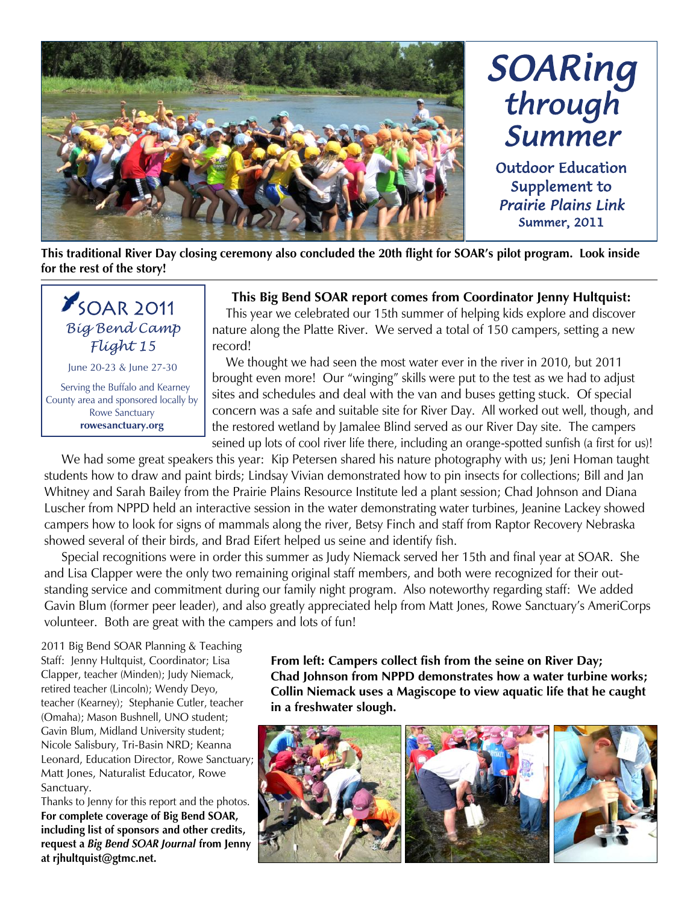

# *SOARing through Summer*  Outdoor Education

Supplement to *Prairie Plains Link*  Summer, 2011

**This traditional River Day closing ceremony also concluded the 20th flight for SOAR's pilot program. Look inside for the rest of the story!**



June 20-23 & June 27-30

 Serving the Buffalo and Kearney County area and sponsored locally by Rowe Sanctuary **rowesanctuary.org**

#### **This Big Bend SOAR report comes from Coordinator Jenny Hultquist:**

 This year we celebrated our 15th summer of helping kids explore and discover nature along the Platte River. We served a total of 150 campers, setting a new record!

 We thought we had seen the most water ever in the river in 2010, but 2011 brought even more! Our "winging" skills were put to the test as we had to adjust sites and schedules and deal with the van and buses getting stuck. Of special concern was a safe and suitable site for River Day. All worked out well, though, and the restored wetland by Jamalee Blind served as our River Day site. The campers seined up lots of cool river life there, including an orange-spotted sunfish (a first for us)!

We had some great speakers this year: Kip Petersen shared his nature photography with us; Jeni Homan taught students how to draw and paint birds; Lindsay Vivian demonstrated how to pin insects for collections; Bill and Jan Whitney and Sarah Bailey from the Prairie Plains Resource Institute led a plant session; Chad Johnson and Diana Luscher from NPPD held an interactive session in the water demonstrating water turbines, Jeanine Lackey showed campers how to look for signs of mammals along the river, Betsy Finch and staff from Raptor Recovery Nebraska showed several of their birds, and Brad Eifert helped us seine and identify fish.

 Special recognitions were in order this summer as Judy Niemack served her 15th and final year at SOAR. She and Lisa Clapper were the only two remaining original staff members, and both were recognized for their outstanding service and commitment during our family night program. Also noteworthy regarding staff: We added Gavin Blum (former peer leader), and also greatly appreciated help from Matt Jones, Rowe Sanctuary's AmeriCorps volunteer. Both are great with the campers and lots of fun!

2011 Big Bend SOAR Planning & Teaching Staff: Jenny Hultquist, Coordinator; Lisa Clapper, teacher (Minden); Judy Niemack, retired teacher (Lincoln); Wendy Deyo, teacher (Kearney); Stephanie Cutler, teacher (Omaha); Mason Bushnell, UNO student; Gavin Blum, Midland University student; Nicole Salisbury, Tri-Basin NRD; Keanna Leonard, Education Director, Rowe Sanctuary; Matt Jones, Naturalist Educator, Rowe Sanctuary.

Thanks to Jenny for this report and the photos. **For complete coverage of Big Bend SOAR, including list of sponsors and other credits, request a** *Big Bend SOAR Journal* **from Jenny at rjhultquist@gtmc.net.**

**From left: Campers collect fish from the seine on River Day; Chad Johnson from NPPD demonstrates how a water turbine works; Collin Niemack uses a Magiscope to view aquatic life that he caught in a freshwater slough.**

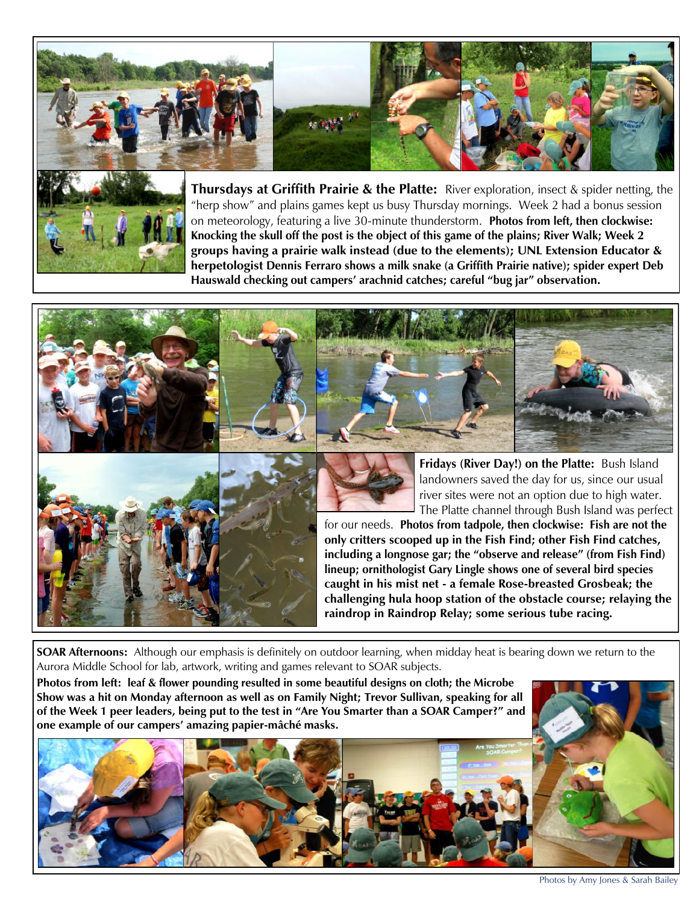



**Thursdays at Griffith Prairie & the Platte:** River exploration, insect & spider netting, the "herp show" and plains games kept us busy Thursday mornings. Week 2 had a bonus session on meteorology, featuring a live 30-minute thunderstorm. **Photos from left, then clockwise: Knocking the skull off the post is the object of this game of the plains; River Walk; Week 2 groups having a prairie walk instead (due to the elements); UNL Extension Educator & herpetologist Dennis Ferraro shows a milk snake (a Griffith Prairie native); spider expert Deb Hauswald checking out campers' arachnid catches; careful "bug jar" observation.**







**Fridays (River Day!) on the Platte:** Bush Island landowners saved the day for us, since our usual river sites were not an option due to high water. The Platte channel through Bush Island was perfect

for our needs. **Photos from tadpole, then clockwise: Fish are not the only critters scooped up in the Fish Find; other Fish Find catches, including a longnose gar; the "observe and release" (from Fish Find) lineup; ornithologist Gary Lingle shows one of several bird species caught in his mist net - a female Rose-breasted Grosbeak; the challenging hula hoop station of the obstacle course; relaying the raindrop in Raindrop Relay; some serious tube racing.** 

**SOAR Afternoons:** Although our emphasis is definitely on outdoor learning, when midday heat is bearing down we return to the Aurora Middle School for lab, artwork, writing and games relevant to SOAR subjects.

**Photos from left: leaf & flower pounding resulted in some beautiful designs on cloth; the Microbe Show was a hit on Monday afternoon as well as on Family Night; Trevor Sullivan, speaking for all of the Week 1 peer leaders, being put to the test in "Are You Smarter than a SOAR Camper?" and one example of our campers' amazing papier-mâché masks.**



Photos by Amy Jones & Sarah Bailey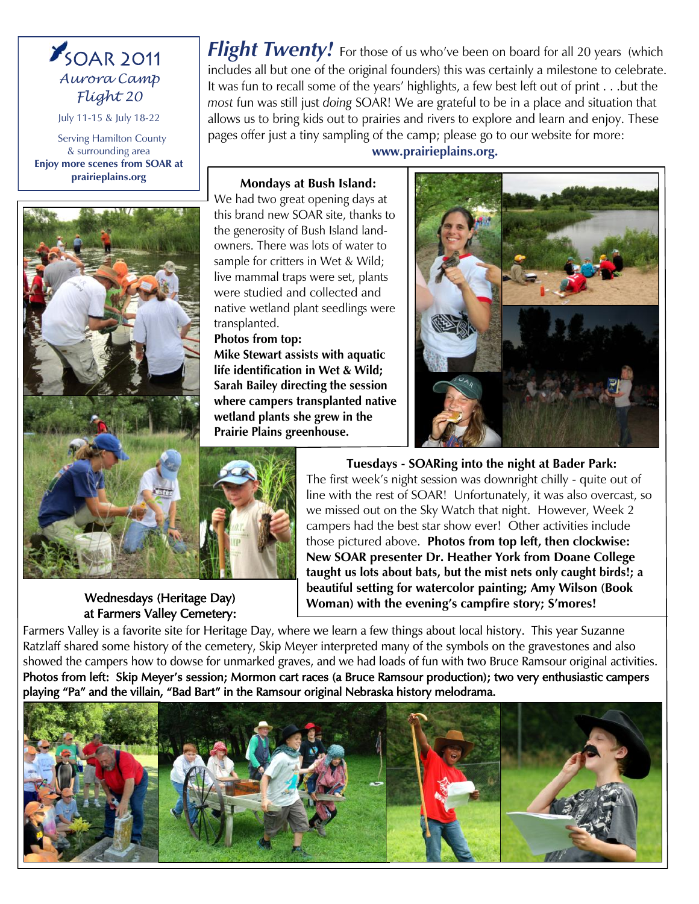## *SOAR 2011 Aurora Camp Flight 20*

July 11-15 & July 18-22

 Serving Hamilton County & surrounding area **Enjoy more scenes from SOAR at prairieplains.org**



Flight Twenty! For those of us who've been on board for all 20 years (which includes all but one of the original founders) this was certainly a milestone to celebrate. It was fun to recall some of the years' highlights, a few best left out of print . . .but the *most* fun was still just *doing* SOAR! We are grateful to be in a place and situation that allows us to bring kids out to prairies and rivers to explore and learn and enjoy. These pages offer just a tiny sampling of the camp; please go to our website for more:

**www.prairieplains.org.**

#### **Mondays at Bush Island:**

We had two great opening days at this brand new SOAR site, thanks to the generosity of Bush Island landowners. There was lots of water to sample for critters in Wet & Wild; live mammal traps were set, plants were studied and collected and native wetland plant seedlings were transplanted.

#### **Photos from top:**

**Mike Stewart assists with aquatic life identification in Wet & Wild; Sarah Bailey directing the session where campers transplanted native wetland plants she grew in the Prairie Plains greenhouse.**





Wednesdays (Heritage Day) at Farmers Valley Cemetery:

**Tuesdays - SOARing into the night at Bader Park:**  The first week's night session was downright chilly - quite out of line with the rest of SOAR! Unfortunately, it was also overcast, so we missed out on the Sky Watch that night. However, Week 2 campers had the best star show ever! Other activities include those pictured above. **Photos from top left, then clockwise: New SOAR presenter Dr. Heather York from Doane College taught us lots about bats, but the mist nets only caught birds!; a beautiful setting for watercolor painting; Amy Wilson (Book Woman) with the evening's campfire story; S'mores!**

Farmers Valley is a favorite site for Heritage Day, where we learn a few things about local history. This year Suzanne Ratzlaff shared some history of the cemetery, Skip Meyer interpreted many of the symbols on the gravestones and also showed the campers how to dowse for unmarked graves, and we had loads of fun with two Bruce Ramsour original activities. Photos from left: Skip Meyer's session; Mormon cart races (a Bruce Ramsour production); two very enthusiastic campers playing "Pa" and the villain, "Bad Bart" in the Ramsour original Nebraska history melodrama.